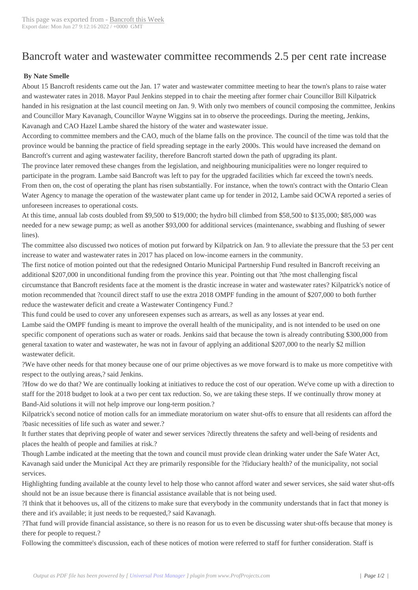## Bancroft water and [wastewater c](http://www.bancroftthisweek.com/?p=8689)ommittee recommends 2.5 per cent rate increase

## **By Nate Smelle**

About 15 Bancroft residents came out the Jan. 17 water and wastewater committee meeting to hear the town's plans to raise water and wastewater rates in 2018. Mayor Paul Jenkins stepped in to chair the meeting after former chair Councillor Bill Kilpatrick handed in his resignation at the last council meeting on Jan. 9. With only two members of council composing the committee, Jenkins and Councillor Mary Kavanagh, Councillor Wayne Wiggins sat in to observe the proceedings. During the meeting, Jenkins, Kavanagh and CAO Hazel Lambe shared the history of the water and wastewater issue.

According to committee members and the CAO, much of the blame falls on the province. The council of the time was told that the province would be banning the practice of field spreading septage in the early 2000s. This would have increased the demand on Bancroft's current and aging wastewater facility, therefore Bancroft started down the path of upgrading its plant.

The province later removed these changes from the legislation, and neighbouring municipalities were no longer required to participate in the program. Lambe said Bancroft was left to pay for the upgraded facilities which far exceed the town's needs. From then on, the cost of operating the plant has risen substantially. For instance, when the town's contract with the Ontario Clean Water Agency to manage the operation of the wastewater plant came up for tender in 2012, Lambe said OCWA reported a series of unforeseen increases to operational costs.

At this time, annual lab costs doubled from \$9,500 to \$19,000; the hydro bill climbed from \$58,500 to \$135,000; \$85,000 was needed for a new sewage pump; as well as another \$93,000 for additional services (maintenance, swabbing and flushing of sewer lines).

The committee also discussed two notices of motion put forward by Kilpatrick on Jan. 9 to alleviate the pressure that the 53 per cent increase to water and wastewater rates in 2017 has placed on low-income earners in the community.

The first notice of motion pointed out that the redesigned Ontario Municipal Partnership Fund resulted in Bancroft receiving an additional \$207,000 in unconditional funding from the province this year. Pointing out that ?the most challenging fiscal circumstance that Bancroft residents face at the moment is the drastic increase in water and wastewater rates? Kilpatrick's notice of motion recommended that ?council direct staff to use the extra 2018 OMPF funding in the amount of \$207,000 to both further reduce the wastewater deficit and create a Wastewater Contingency Fund.?

This fund could be used to cover any unforeseen expenses such as arrears, as well as any losses at year end.

Lambe said the OMPF funding is meant to improve the overall health of the municipality, and is not intended to be used on one specific component of operations such as water or roads. Jenkins said that because the town is already contributing \$300,000 from general taxation to water and wastewater, he was not in favour of applying an additional \$207,000 to the nearly \$2 million wastewater deficit.

?We have other needs for that money because one of our prime objectives as we move forward is to make us more competitive with respect to the outlying areas,? said Jenkins.

?How do we do that? We are continually looking at initiatives to reduce the cost of our operation. We've come up with a direction to staff for the 2018 budget to look at a two per cent tax reduction. So, we are taking these steps. If we continually throw money at Band-Aid solutions it will not help improve our long-term position.?

Kilpatrick's second notice of motion calls for an immediate moratorium on water shut-offs to ensure that all residents can afford the ?basic necessities of life such as water and sewer.?

It further states that depriving people of water and sewer services ?directly threatens the safety and well-being of residents and places the health of people and families at risk.?

Though Lambe indicated at the meeting that the town and council must provide clean drinking water under the Safe Water Act, Kavanagh said under the Municipal Act they are primarily responsible for the ?fiduciary health? of the municipality, not social services.

Highlighting funding available at the county level to help those who cannot afford water and sewer services, she said water shut-offs should not be an issue because there is financial assistance available that is not being used.

?I think that it behooves us, all of the citizens to make sure that everybody in the community understands that in fact that money is there and it's available; it just needs to be requested,? said Kavanagh.

?That fund will provide financial assistance, so there is no reason for us to even be discussing water shut-offs because that money is there for people to request.?

Following the committee's discussion, each of these notices of motion were referred to staff for further consideration. Staff is